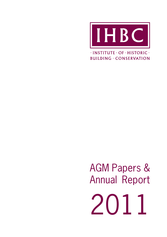

 $\cdot$ INSTITUTE  $\cdot$  OF  $\cdot$  HISTORIC  $\cdot$ **BUILDING · CONSERVATION** 

AGM Papers & Annual Report 2011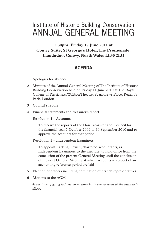# Institute of Historic Building Conservation ANNUAL GENERAL MEETING

**5.30pm, Friday 17 June 2011 at Conwy Suite, St George's Hotel, The Promenade, Llandudno, Conwy, North Wales LL30 2LG**

## **AGENDA**

- 1 Apologies for absence
- 2 Minutes of the Annual General Meeting of The Institute of Historic Building Conservation held on Friday 11 June 2010 at The Royal College of Physicians, Wolfson Theatre, St Andrews Place, Regent's Park, London
- 3 Council's report
- 4 Financial statements and treasurer's report

Resolution 1 – Accounts

To receive the reports of the Hon Treasurer and Council for the financial year 1 October 2009 to 30 September 2010 and to approve the accounts for that period

Resolution 2 – Independent Examiners

To appoint Larking Gowen, chartered accountants, as Independent Examiners to the institute, to hold office from the conclusion of the present General Meeting until the conclusion of the next General Meeting at which accounts in respect of an accounting reference period are laid

- 5 Election of officers including nomination of branch representatives
- 6 Motions to the AGM

*At the time of going to press no motions had been received at the institute's*   $offices.$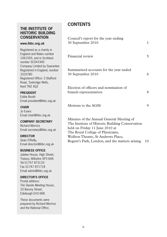## **THE INSTITUTE OF HISTORIC BUILDING CONSERVATION**

#### **www.ihbc.org.uk**

Registered as a charity in England and Wales number 1061593, and in Scotland number SC041945 Company Limited by Guarantee Registered in England, number 3333780 Registered Office: 3 Stafford Road, Tunbridge Wells, Kent TN2 4QZ

#### **PRESIDENT**

Eddie Booth Email president@ihbc.org.uk

#### **CHAIR**

Jo Evans Email chair@ihbc.org.uk

### **COMPANY SECRETARY**

Richard Morrice Email secretary@ihbc.org.uk

#### **DIRECTOR**

Seán O'Reilly, Email director@ihbc.org.uk

#### **BUSINESS OFFICE**

Jubilee House, High Street, Tisbury, Wiltshire SP3 6HA Tel 01747 873133 Fax 01747 871718 Email admin@ihbc.org.uk

#### **DIRECTOR'S OFFICE**

Postal address: The Glasite Meeting House, 33 Barony Street, Edinburgh EH3 6NX

These documents were prepared by Richard Morrice and the National Office.

## **CONTENTS**

| Council's report for the year ending<br>30 September 2010                                                                                                                                               | 1 |
|---------------------------------------------------------------------------------------------------------------------------------------------------------------------------------------------------------|---|
| Financial review                                                                                                                                                                                        | 5 |
| Summarised accounts for the year ended<br>30 September 2010                                                                                                                                             | 6 |
| Election of officers and nomination of<br>branch representatives                                                                                                                                        | 8 |
| Motions to the AGM                                                                                                                                                                                      | Q |
| Minutes of the Annual General Meeting of<br>The Institute of Historic Building Conservation<br>held on Friday 11 June 2010 at<br>The Royal College of Physicians,<br>Wolfson Theatre, St Andrews Place, |   |

Regent's Park, London, and the matters arising 10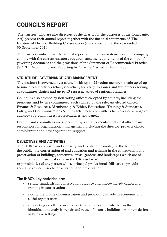# **COUNCIL'S REPORT**

The trustees (who are also directors of the charity for the purposes of the Companies Act) present their annual report together with the financial statements of The Institute of Historic Building Conservation (the company) for the year ended 30 September 2010.

The trustees confirm that the annual report and financial statements of the company comply with the current statutory requirements, the requirements of the company's governing document and the provisions of the Statement of Recommended Practice (SORP) 'Accounting and Reporting by Charities' issued in March 2005.

## **STRUCTURE, GOVERNANCE AND MANAGEMENT**

The institute is governed by a council with up to 22 voting members made up of up to nine elected officers (chair, vice-chair, secretary, treasurer and five officers serving as committee chairs) and up to 13 representatives of regional branches.

Council is also advised by non-voting officers co-opted by council, including the president, and by five committees, each chaired by the relevant elected officer: Finance & Resources, Membership & Ethics, Educational Training & Standards, Policy, and Communications & Outreach. These committees help oversee a range of advisory sub-committees, representatives and panels.

Council and committees are supported by a small, executive national office team responsible for organisational management, including the director, projects officer, administrator and other operational support.

## **OBJECTIVES AND ACTIVITIES**

The IHBC is a company and a charity, and exists to promote, for the benefit of the public, the conservation of and education and training in the conservation and preservation of buildings, structures, areas, gardens and landscapes which are of architectural or historical value in the UK insofar as it lies within the duties and responsibilities of any person whose principal professional skills are to provide specialist advice in such conservation and preservation.

## **The IHBC's key activities are:**

- setting standards for conservation practice and improving education and training in conservation
- raising the profile of conservation and promoting its role in economic and social regeneration
- supporting excellence in all aspects of conservation, whether in the identification, analysis, repair and reuse of historic buildings or in new design in historic settings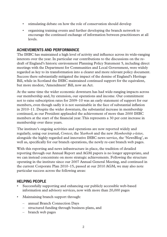- stimulating debate on how the role of conservation should develop
- organising training events and further developing the branch network to encourage the continued exchange of information between practitioners at all levels.

### **ACHIEVEMENTS AND PERFORMANCE**

The IHBC has maintained a high level of activity and influence across its wide-ranging interests over the year. In particular our contributions to the discussions on the redraft of England's historic environment Planning Policy Statement 5, including direct meetings with the Department for Communities and Local Government, were widely regarded as key to its transformation into a clearer and more relevant policy document. Success there substantially mitigated the impact of the demise of England's Heritage Bill, while in Scotland the IHBC maintained continued support for the equivalent, but more modest, 'Amendment' Bill, now an Act.

At the same time the wider economic downturn has had wide-ranging impacts across our membership and, by extension, our operations and income. Our commitment not to raise subscription rates for 2009–10 was an early statement of support for our members, even though sadly it is not sustainable in the face of substantial inflation in 2010–11. Despite the wider downturn, the substantial increase in membership continued, as our President applauded the achievement of more than 2000 IHBC members at the start of the financial year. This represents a 30 per cent increase in membership over three years.

The institute's ongoing activities and operations are now reported widely and regularly, using our journal, *Context*, the *Yearbook* and the new *Membership e-letter*, alongside the highly regarded and innovative IHBC news service, the 'NewsBlog', as well as, specifically for our branch operations, the newly re-cast branch web pages.

With this reporting and news infrastructure in place, the tradition of detailed reporting through our Annual Report and AGM papers is no longer appropriate, and we can instead concentrate on more strategic achievements. Following the structure operating in the institute since our 2007 Annual General Meeting, and continued in the current Corporate Plan 2010–15, passed at our 2010 AGM, we may also note particular success across the following areas:

## **HELPING PEOPLE**

- Successfully supporting and enhancing our publicly accessible web-based information and advisory services, now with more than 20,000 pages
- Maintaining branch support through:
	- annual Branch Connection Days
	- structured funding through business plans, and
	- branch web pages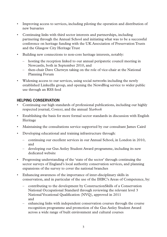- Improving access to services, including piloting the operation and distribution of new bursaries
- Continuing links with third sector interests and partnerships, including partnering through the Annual School and initiating what was to be a successful conference on heritage funding with the UK Association of Preservation Trusts and the Glasgow City Heritage Trust
- Building new connections to non-core heritage interests, notably:
	- hosting the reception linked to our annual peripatetic council meeting in Newcastle, both in September 2010, and
	- then-chair Dave Chetwyn taking on the role of vice-chair at the National Planning Forum
- Widening access to our services, using social networks including the newly established LinkedIn group, and opening the NewsBlog service to wider public use through an RSS feed

## **HELPING CONSERVATION**

- Continuing our high standards of professional publications, including our highly respected journal, *Context*, and the annual *Yearbook*
- \* Establishing the basis for more formal sector standards in discussion with English Heritage
- Maintaining the consultations service supported by our consultant James Caird
- Developing educational and training infrastructure through:
	- continuing our excellent services in our Annual School, in London in 2010, and
	- developing our Gus Astley Student Award programme, including its new dedicated website
- Progressing understanding of the 'state of the sector' through continuing the sector surveys of England's local authority conservation services, and planning expansions of the survey to cover the national branches
- Enhancing awareness of the importance of inter-disciplinary skills in conservation, and in particular of the use of the IHBC's Areas of Competence, by:
	- contributing to the development by ConstructionSkills of a Conservation National Occupational Standard through reviewing the relevant level 3 National Vocational Qualification (NVQ), approved in 2011 and
	- enhancing links with independent conservation courses through the course recognition programme and promotion of the Gus Astley Student Award across a wide range of built environment and cultural courses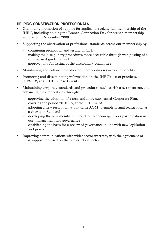## **HELPING CONSERVATION PROFESSIONALS**

- Continuing promotion of support for applicants seeking full membership of the IHBC, including holding the Branch Connection Day for branch membership secretaries in November 2009
- Supporting the observation of professional standards across our membership by:
	- continuing promotion and testing of CPD
	- making the disciplinary procedures more accessible through web posting of a summarised guidance and
	- approval of a full listing of the disciplinary committee
- Maintaining and enhancing dedicated membership services and benefits
- Promoting and disseminating information on the IHBC's list of practices, 'HESPR', at all IHBC-linked events
- Maintaining corporate standards and procedures, such as risk assessment etc, and enhancing these operations through:
	- approving the adoption of a new and more substantial Corporate Plan, covering the period 2010–15, at the 2010 AGM
	- adopting a new resolution at that same AGM to enable formal registration as a charity in Scotland
	- developing the new membership e-letter to encourage wider participation in our management and governance
	- establishing the basis for a review of governance in line with new legislation and practice
- Improving communications with wider sector interests, with the agreement of press support focussed on the construction sector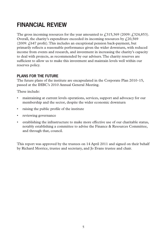# **FINANCIAL REVIEW**

The gross incoming resources for the year amounted to  $\ell$ 315,369 (2009:  $\ell$ 324,853). Overall, the charity's expenditure exceeded its incoming resources by  $\ell$  20,569  $(2009: f 647 \text{ profit})$ . This includes an exceptional pension back-payment, but primarily reflects a reasonable performance given the wider downturn, with reduced income from events and research, and investment in increasing the charity's capacity to deal with projects, as recommended by our advisers. The charity reserves are sufficient to allow us to make this investment and maintain levels well within our reserves policy.

## **PLANS FOR THE FUTURE**

The future plans of the institute are encapsulated in the Corporate Plan 2010–15, passed at the IHBC's 2010 Annual General Meeting.

These include:

- maintaining at current levels operations, services, support and advocacy for our membership and the sector, despite the wider economic downturn
- raising the public profile of the institute
- reviewing governance
- establishing the infrastructure to make more effective use of our charitable status, notably establishing a committee to advise the Finance & Resources Committee, and through that, council.

This report was approved by the trustees on 14 April 2011 and signed on their behalf by Richard Morrice, trustee and secretary, and Jo Evans trustee and chair.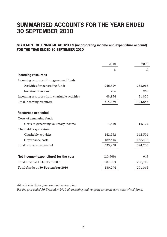## **SUMMARISED ACCOUNTS FOR THE YEAR ENDED 30 SEPTEMBER 2010**

#### **STATEMENT OF FINANCIAL ACTIVITIES (incorporating income and expenditure account) FOR THE YEAR ENDED 30 SEPTEMBER 2010**

|                                               | 2010      | 2009    |
|-----------------------------------------------|-----------|---------|
|                                               | £.        | £.      |
| <b>Incoming resources</b>                     |           |         |
| Incoming resources from generated funds       |           |         |
| Activities for generating funds               | 246,529   | 252,065 |
| Investment income                             | 706       | 968     |
| Incoming resources from charitable activities | 68,134    | 71,820  |
| Total incoming resources                      | 315,369   | 324,853 |
|                                               |           |         |
| <b>Resources expended</b>                     |           |         |
| Costs of generating funds                     |           |         |
| Costs of generating voluntary income.         | 3,870     | 13,174  |
| Charitable expenditure                        |           |         |
| Charitable activities                         | 142,552   | 142,594 |
| Governance costs                              | 189,516   | 168,438 |
| Total resources expended                      | 335,938   | 324,206 |
|                                               |           |         |
| Net income/(expenditure) for the year         | (20, 569) | 647     |
| Total funds at 1 October 2009                 | 201,363   | 200,716 |
| Total funds at 30 September 2010              | 180,794   | 201,363 |

*All activities derive from continuing operations.* 

*For the year ended 30 September 2010 all incoming and outgoing resources were unrestricted funds.*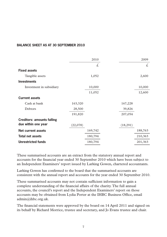#### **BALANCE SHEET AS AT 30 SEPTEMBER 2010**

|                                   |          | 2010    |          | 2009    |
|-----------------------------------|----------|---------|----------|---------|
|                                   |          | £.      |          | £.      |
| <b>Fixed assets</b>               |          |         |          |         |
| Tangible assets                   |          | 1,052   |          | 2,600   |
| <b>Investments</b>                |          |         |          |         |
| Investment in subsidiary          |          | 10,000  |          | 10,000  |
|                                   |          | 11,052  |          | 12,600  |
| <b>Current assets</b>             |          |         |          |         |
| Cash at bank                      | 163,320  |         |          | 167,228 |
| Debtors                           | 28,500   |         |          | 39,826  |
|                                   | 191,820  |         | 207,054  |         |
| <b>Creditors: amounts falling</b> |          |         |          |         |
| due within one year               | (22,078) |         | (18,291) |         |
| <b>Net current assets</b>         |          | 169,742 |          | 188,763 |
| <b>Total net assets</b>           |          | 180,794 |          | 210,363 |
| <b>Unrestricted funds</b>         |          | 180,794 |          | 201,363 |

These summarised accounts are an extract from the statutory annual report and accounts for the financial year ended 30 September 2010 which have been subject to an Independent Examiners' report issued by Larking Gowen, chartered accountants.

Larking Gowen has confirmed to the board that the summarised accounts are consistent with the annual report and accounts for the year ended 30 September 2010.

These summarised accounts may not contain sufficient information to gain a complete understanding of the financial affairs of the charity. The full annual accounts, the council's report and the Independent Examiners' report on those accounts may be obtained from Lydia Porter at the IHBC Business Office, email admin@ihbc.org.uk.

The financial statements were approved by the board on 14 April 2011 and signed on its behalf by Richard Morrice, trustee and secretary, and Jo Evans trustee and chair.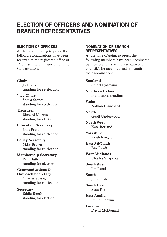## **ELECTION OF OFFICERS AND NOMINATION OF BRANCH REPRESENTATIVES**

#### **ELECTION OF OFFICERS**

At the time of going to press, the following nominations have been received at the registered office of The Institute of Historic Building Conservation:

#### **Chair**

Jo Evans standing for re-election

**Vice Chair** Sheila Stones standing for re-election

**Treasurer** Richard Morrice standing for election

**Education Secretary** John Preston standing for re-election

#### **Policy Secretary** Mike Brown standing for re-election

**Membership Secretary** Paul Butler standing for election

#### **Communications & Outreach Secretary**

Charles Strang standing for re-election

**Secretary** Eddie Booth standing for election

#### **NOMINATION OF BRANCH REPRESENTATIVES**

At the time of going to press, the following members have been nominated by their branches as representatives on council. The meeting needs to confirm their nomination:

**Scotland** Stuart Eydmann

**Northern Ireland** nomination pending

**Wales** Nathan Blanchard

**North** Geoff Underwood

**North West** Kate Borland

**Yorkshire** Keith Knight

**East Midlands** Roy Lewis

**West Midlands** Charles Shapcott

**South West** Ian Lund

**South** Julia Foster

**South East** Sean Rix

**East Anglia** Philip Godwin

**London** David McDonald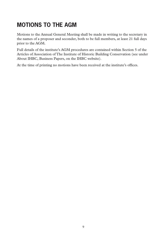# **MOTIONS TO THE AGM**

Motions to the Annual General Meeting shall be made in writing to the secretary in the names of a proposer and seconder, both to be full members, at least 21 full days prior to the AGM.

Full details of the institute's AGM procedures are contained within Section 5 of the Articles of Association of The Institute of Historic Building Conservation (see under About IHBC, Business Papers, on the IHBC website).

At the time of printing no motions have been received at the institute's offices.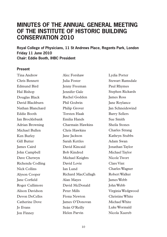## **MINUTES OF THE ANNUAL GENERAL MEETING OF THE INSTITUTE OF HISTORIC BUILDING CONSERVATION 2010**

**Royal College of Physicians, 11 St Andrews Place, Regents Park, London Friday 11 June 2010 Chair: Eddie Booth, IHBC President**

#### **Present**

Tina Andrew Chris Bennett Edmund Bird Hal Bishop Douglas Black David Blackburn Nathan Blanchard Eddie Booth Ian Brocklebank Adrian Browning Michael Bullen Ken Burley Gill Butter James Caird John Campbell Dave Chetwyn Richenda Codling Nick Collins Alyson Cooper Jane Corfield Roger Cullimore Alison Davidson Devon DeCelles Catherine Dove Jo Evans Jon Finney

Alec Forshaw Julia Foster Jenny Freeman Jennifer Gale Rachel Godden Phil Godwin Philip Grover Torsten Haak Emilia Hands Charmain Hawkins Chris Hawkins Jane Jackson Sarah Kettles David Kincaid Bob Kindred Michael Knights David Lovie Ian Lund Richard MacCullagh Alan Mayes David McDonald Peter Mills Fiona Newton James O'Donovan Seán O'Reilly Helen Parvin

Lydia Porter Stewart Ramsdale Paul Rhymes Stephen Rickards James Ross Jane Roylance Jan Schneidewind Barry Sellers Sue Smith Sheila Stones Charles Strang Kathryn Stubbs Adam Swan Jonathan Taylor Michael Taylor Nicole Twort Clare Vint Charles Wagner Robert Walker James Webb John Webb Virginia Wedgwood Christine White Michael White Luke Wormald Nicola Xuereb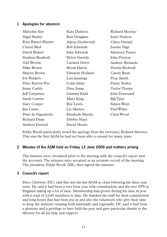### **1 Apologies for absence**

| Malcolm Airs          | Kate Dickson       | Richard Morrice      |
|-----------------------|--------------------|----------------------|
| Nigel Barker          | Ron Douglass       | Jenni Neilson        |
| Kate Baxter-Hunter    | Adron Duckworth    | Chloe Oswald         |
| Chezel Bird           | <b>Bob Edwards</b> | <b>Justine Page</b>  |
| David Birkett         | John Edwards       | Maureen Pearce       |
| Stephen Bradwell      | Helen Garside      | John Preston         |
| Gail Broom            | Luciana Grave      | Andrew Richards      |
| Mike Brown            | Bryan Harris       | Dennis Rodwell       |
| Sharon Brown          | Edwards Holland    | Carole Ryan          |
| Jon Burgess           | Lisa Jennings      | Prue Smith           |
| Dave Burton-Pye       | Colin Johns        | Penny Stokes         |
| Jenny Carlile         | Dave Jump          | <b>Trefor Thorpe</b> |
| Jeff Carpenter        | Gemma Kidd         | John Townsend        |
| Sarah Cawrse          | Mary King          | Bill Tyler           |
| Gary Cooper           | Roy Lewis          | Simon Went           |
| <b>Jim Crane</b>      | Liz Marten         | Paul White           |
| Peter de Figueiredo   | Elizabeth Martin   | Chris Wood           |
| Richard Dean          | Debbie Mays        |                      |
| <b>Andrew Derrick</b> | David Moore        |                      |

Eddie Booth particularly noted the apology from the secretary, Richard Morrice. This was the first AGM he had not been able to attend for many years.

#### **2 Minutes of the AGM held on Friday 12 June 2009 and matters arising**

The minutes were circulated prior to the meeting with the council's report and the accounts. The minutes were accepted as an accurate record of the meeting. The president, Eddie Booth (EB), then signed the minutes.

#### **3 Council's report**

Dave Chetwyn (DC) said this was his last AGM as chair following his three year term. He said it had been a very busy year with consultations and the new PPS in England taking up a lot of time. Membership had grown during his time in post with a total of 2,049 members to date. He thanked the staff for their commitment and long hours that had been put in and also the volunteers who give their time to keep the institute running both nationally and regionally. DC said it had been a pleasure and a privilege to have held the post and gave particular thanks to the director for all his help and support.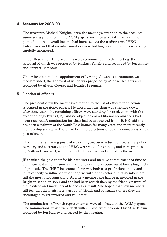### **4 Accounts for 2008–09**

The treasurer, Michael Knights, drew the meeting's attention to the accounts summary as published in the AGM papers and they were taken as read. He pointed out that overall income had increased via the trading arm, IHBC Enterprises and that member numbers were holding up although this was being carefully monitored.

Under Resolution 1 the accounts were recommended to the meeting, the approval of which was proposed by Michael Knights and seconded by Jon Finney and Stewart Ramsdale.

Under Resolution 2 the appointment of Larking-Gowen as accountants was recommended, the approval of which was proposed by Michael Knights and seconded by Alyson Cooper and Jennifer Freeman.

### **5 Election of officers**

The president drew the meeting's attention to the list of officers for election as printed in the AGM papers. He noted that the chair was standing down after three years, the remaining officers were standing for re-election, with the exception of Jo Evans (JE), and no objections or additional nominations had been received. A nomination for chair had been received from JE. EB said she has been a stalwart of the South East branch for many years and more recently membership secretary. There had been no objections or other nominations for the post of chair.

This and the remaining posts of vice chair, treasurer, education secretary, policy secretary and secretary to the IHBC were voted for en bloc, and were proposed by Nathan Blanchard, seconded by Philip Grover and agreed by the meeting.

JE thanked the past chair for his hard work and massive commitment of time to the institute during his time as chair. She said the institute owed him a huge debt of gratitude. The IHBC has come a long way both as a professional body and in its capacity to influence what happens within the sector but its members are still the most important thing. As a new member she had been involved in the Brighton school in 1991 and she had been struck then by the friendly nature of the institute and made lots of friends as a result. She hoped that new members still feel that the institute is a group of friends and colleagues where they are encouraged to get involved and volunteer.

The nominations of branch representatives were also listed in the AGM papers. The nominations, which were dealt with en bloc, were proposed by Mike Brown, seconded by Jon Finney and agreed by the meeting.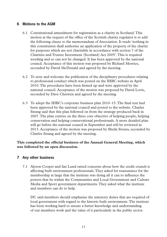#### **6 Motions to the AGM**

- 6.1 Constitutional amendment for registration as a charity in Scotland. This motion at the request of the office of the Scottish charity regulator is to add the following clause to the memorandum of Association. It reads 'nothing in this constitution shall authorise an application of the property of the charity for purposes which are not charitable in accordance with section 7 of the Charities and Trustee Investment (Scotland) Act 2005'. This is required wording and so can not be changed. It has been approved by the national council. Acceptance of this motion was proposed by Richard Morrice, seconded by David McDonald and agreed by the meeting.
- 6.2 To note and welcome the publication of the disciplinary procedures relating to professional conduct which was posted on the IHBC website in April 2010. The procedures have been firmed up and were approved by the national council. Acceptance of the motion was proposed by David Lovie, seconded by Dave Chetwyn and agreed by the meeting.
- 6.3 To adopt the IHBC's corporate business plan  $2010-15$ . The final text had been approved by the national council and posted to the website. Charles Strang said that this plan followed on from the strategy produced back in 2007. The plan centres on the three core objective of helping people, helping conservation and helping conservational professionals. A more detailed plan will go before the national council in September and will be reviewed in 2013. Acceptance of the motion was proposed by Sheila Stones, seconded by Charles Strang and agreed by the meeting.

#### **This completed the official business of the Annual General Meeting, which was followed by an open discussion.**

#### **7 Any other business**

7.1 Alyson Cooper and Ian Lund raised concerns about how the credit crunch is affecting built environment professionals. They asked for reassurance for the membership at large that the institute was doing all it can to influence the powers that be within the Communities and Local Government and Culture Media and Sport government departments. They asked what the institute and members can do to help.

DC said members should emphasise the statutory duties that are required of local government with regard to the historic built environment. The institute has been working hard to ensure a better knowledge and understanding of our members work and the value of it particularly in the public sector.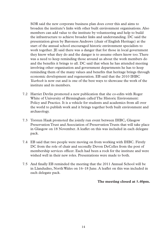SOR said the new corporate business plan does cover this and aims to broaden the institute's links with other built environment organisations. Also members can add value to the institute by volunteering and help to build the infrastructure to achieve broader links and understanding. DC said the presentation given by Baroness Andrews (chair of English Heritage) at the start of the annual school encouraged historic environment specialists to work together. JE said there was a danger that for those in local government they know what they do and the danger is to assume others know too. There was a need to keep reminding those around us about the work members do and the benefits it brings to all. DC said that when he has attended meeting involving other organisation and government departments he has to keep reminding them of the many values and benefits that heritage brings through economic development and regeneration. EB said that the 2010 IHBC *Yearbook* is now out and is one of the best ways to showcase the work of the institute and its members.

- 7.2 Harriet Devlin promoted a new publication that she co-edits with Roger White of University of Birmingham called The Historic Environment: Policy and Practice. It is a vehicle for students and academics from all over the world to publish work and it brings together both built environment and archaeology.
- 7.3 Torsten Haak promoted the jointly run event between IHBC, Glasgow Preservation Trust and Association of Preservation Trusts that will take place in Glasgow on 18 November. A leaflet on this was included in each delegate pack.
- 7.4 EB said that two people were moving on from working with IHBC. Firstly DC from the role of chair and secondly Devon DeCelles from the post of membership services officer. Each had been a rock for the institute and were wished well in their new roles. Presentations were made to both.
- 7.5 And finally EB reminded the meeting that the 2011 Annual School will be in Llandudno, North Wales on 16–18 June. A leaflet on this was included in each delegate pack.

**The meeting closed at 5.40pm.**